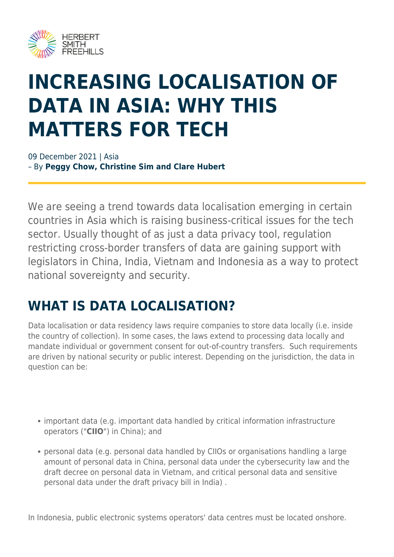

# **INCREASING LOCALISATION OF DATA IN ASIA: WHY THIS MATTERS FOR TECH**

09 December 2021 | Asia – By **Peggy Chow, Christine Sim and Clare Hubert**

We are seeing a trend towards data localisation emerging in certain countries in Asia which is raising business-critical issues for the tech sector. Usually thought of as just a data privacy tool, regulation restricting cross-border transfers of data are gaining support with legislators in China, India, Vietnam and Indonesia as a way to protect national sovereignty and security.

## **WHAT IS DATA LOCALISATION?**

Data localisation or data residency laws require companies to store data locally (i.e. inside the country of collection). In some cases, the laws extend to processing data locally and mandate individual or government consent for out-of-country transfers. Such requirements are driven by national security or public interest. Depending on the jurisdiction, the data in question can be:

- important data (e.g. important data handled by critical information infrastructure operators ("**CIIO**") in China); and
- personal data (e.g. personal data handled by CIIOs or organisations handling a large amount of personal data in China, personal data under the cybersecurity law and the draft decree on personal data in Vietnam, and critical personal data and sensitive personal data under the draft privacy bill in India) .

In Indonesia, public electronic systems operators' data centres must be located onshore.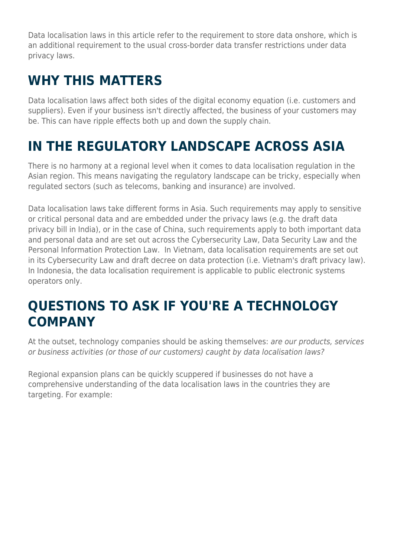Data localisation laws in this article refer to the requirement to store data onshore, which is an additional requirement to the usual cross-border data transfer restrictions under data privacy laws.

## **WHY THIS MATTERS**

Data localisation laws affect both sides of the digital economy equation (i.e. customers and suppliers). Even if your business isn't directly affected, the business of your customers may be. This can have ripple effects both up and down the supply chain.

## **IN THE REGULATORY LANDSCAPE ACROSS ASIA**

There is no harmony at a regional level when it comes to data localisation regulation in the Asian region. This means navigating the regulatory landscape can be tricky, especially when regulated sectors (such as telecoms, banking and insurance) are involved.

Data localisation laws take different forms in Asia. Such requirements may apply to sensitive or critical personal data and are embedded under the privacy laws (e.g. the draft data privacy bill in India), or in the case of China, such requirements apply to both important data and personal data and are set out across the Cybersecurity Law, Data Security Law and the Personal Information Protection Law. In Vietnam, data localisation requirements are set out in its Cybersecurity Law and draft decree on data protection (i.e. Vietnam's draft privacy law). In Indonesia, the data localisation requirement is applicable to public electronic systems operators only.

### **QUESTIONS TO ASK IF YOU'RE A TECHNOLOGY COMPANY**

At the outset, technology companies should be asking themselves: are our products, services or business activities (or those of our customers) caught by data localisation laws?

Regional expansion plans can be quickly scuppered if businesses do not have a comprehensive understanding of the data localisation laws in the countries they are targeting. For example: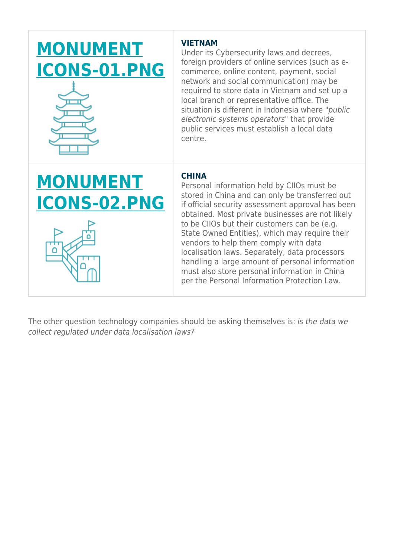## **[MONUMENT](https://www.herbertsmithfreehills.com/sites/contenthub_mothership/files/monument%20icons-01.png) [ICONS-01.PNG](https://www.herbertsmithfreehills.com/sites/contenthub_mothership/files/monument%20icons-01.png)**



#### **VIETNAM**

Under its Cybersecurity laws and decrees, foreign providers of online services (such as ecommerce, online content, payment, social network and social communication) may be required to store data in Vietnam and set up a local branch or representative office. The situation is different in Indonesia where "public electronic systems operators" that provide public services must establish a local data centre.

## **[MONUMENT](https://www.herbertsmithfreehills.com/sites/contenthub_mothership/files/monument%20icons-02.png) [ICONS-02.PNG](https://www.herbertsmithfreehills.com/sites/contenthub_mothership/files/monument%20icons-02.png)**

#### **CHINA**

Personal information held by CIIOs must be stored in China and can only be transferred out if official security assessment approval has been obtained. Most private businesses are not likely to be CIIOs but their customers can be (e.g. State Owned Entities), which may require their vendors to help them comply with data localisation laws. Separately, data processors handling a large amount of personal information must also store personal information in China per the Personal Information Protection Law.

The other question technology companies should be asking themselves is: is the data we collect regulated under data localisation laws?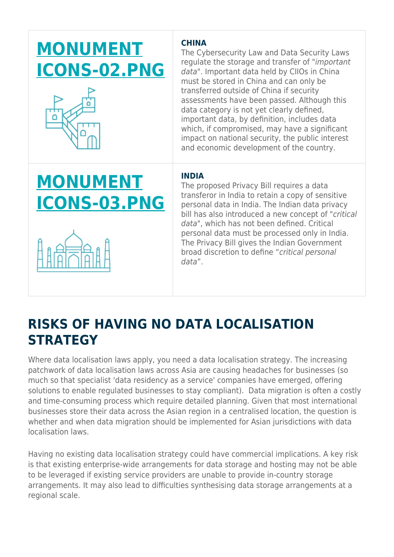## **[MONUMENT](https://www.herbertsmithfreehills.com/sites/contenthub_mothership/files/monument%20icons-02.png) [ICONS-02.PNG](https://www.herbertsmithfreehills.com/sites/contenthub_mothership/files/monument%20icons-02.png)**



# **[MONUMENT](https://www.herbertsmithfreehills.com/sites/contenthub_mothership/files/monument%20icons-03.png) [ICONS-03.PNG](https://www.herbertsmithfreehills.com/sites/contenthub_mothership/files/monument%20icons-03.png)**



### **CHINA**

The Cybersecurity Law and Data Security Laws regulate the storage and transfer of "important data". Important data held by CIIOs in China must be stored in China and can only be transferred outside of China if security assessments have been passed. Although this data category is not yet clearly defined, important data, by definition, includes data which, if compromised, may have a significant impact on national security, the public interest and economic development of the country.

### **INDIA**

The proposed Privacy Bill requires a data transferor in India to retain a copy of sensitive personal data in India. The Indian data privacy bill has also introduced a new concept of "critical data", which has not been defined. Critical personal data must be processed only in India. The Privacy Bill gives the Indian Government broad discretion to define "critical personal data".

## **RISKS OF HAVING NO DATA LOCALISATION STRATEGY**

Where data localisation laws apply, you need a data localisation strategy. The increasing patchwork of data localisation laws across Asia are causing headaches for businesses (so much so that specialist 'data residency as a service' companies have emerged, offering solutions to enable regulated businesses to stay compliant). Data migration is often a costly and time-consuming process which require detailed planning. Given that most international businesses store their data across the Asian region in a centralised location, the question is whether and when data migration should be implemented for Asian jurisdictions with data localisation laws.

Having no existing data localisation strategy could have commercial implications. A key risk is that existing enterprise-wide arrangements for data storage and hosting may not be able to be leveraged if existing service providers are unable to provide in-country storage arrangements. It may also lead to difficulties synthesising data storage arrangements at a regional scale.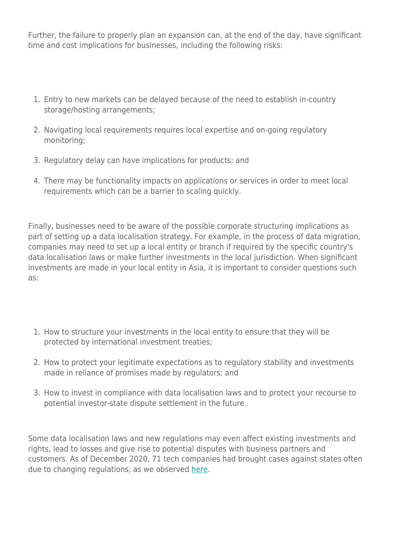Further, the failure to properly plan an expansion can, at the end of the day, have significant time and cost implications for businesses, including the following risks:

- 1. Entry to new markets can be delayed because of the need to establish in-country storage/hosting arrangements;
- 2. Navigating local requirements requires local expertise and on-going regulatory monitoring;
- 3. Regulatory delay can have implications for products; and
- 4. There may be functionality impacts on applications or services in order to meet local requirements which can be a barrier to scaling quickly.

Finally, businesses need to be aware of the possible corporate structuring implications as part of setting up a data localisation strategy. For example, in the process of data migration, companies may need to set up a local entity or branch if required by the specific country's data localisation laws or make further investments in the local jurisdiction. When significant investments are made in your local entity in Asia, it is important to consider questions such as:

- 1. How to structure your investments in the local entity to ensure that they will be protected by international investment treaties;
- 2. How to protect your legitimate expectations as to regulatory stability and investments made in reliance of promises made by regulators; and
- 3. How to invest in compliance with data localisation laws and to protect your recourse to potential investor-state dispute settlement in the future.

Some data localisation laws and new regulations may even affect existing investments and rights, lead to losses and give rise to potential disputes with business partners and customers. As of December 2020, 71 tech companies had brought cases against states often due to changing regulations, as we observed [here.](https://hsfnotes.com/arbitration/2020/12/24/2020-survey-of-tmt-sector-investor-state-arbitration/)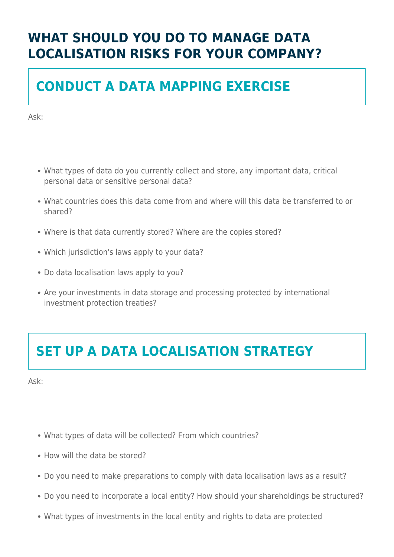## **WHAT SHOULD YOU DO TO MANAGE DATA LOCALISATION RISKS FOR YOUR COMPANY?**

## **CONDUCT A DATA MAPPING EXERCISE**

Ask:

- What types of data do you currently collect and store, any important data, critical personal data or sensitive personal data?
- What countries does this data come from and where will this data be transferred to or shared?
- Where is that data currently stored? Where are the copies stored?
- Which jurisdiction's laws apply to your data?
- Do data localisation laws apply to you?
- Are your investments in data storage and processing protected by international investment protection treaties?

## **SET UP A DATA LOCALISATION STRATEGY**

Ask:

- What types of data will be collected? From which countries?
- How will the data be stored?
- Do you need to make preparations to comply with data localisation laws as a result?
- Do you need to incorporate a local entity? How should your shareholdings be structured?
- What types of investments in the local entity and rights to data are protected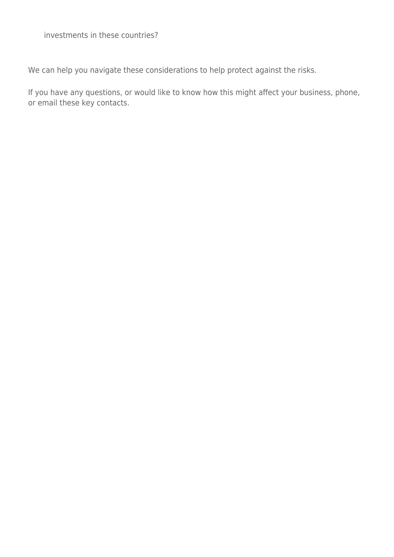investments in these countries?

We can help you navigate these considerations to help protect against the risks.

If you have any questions, or would like to know how this might affect your business, phone, or email these key contacts.